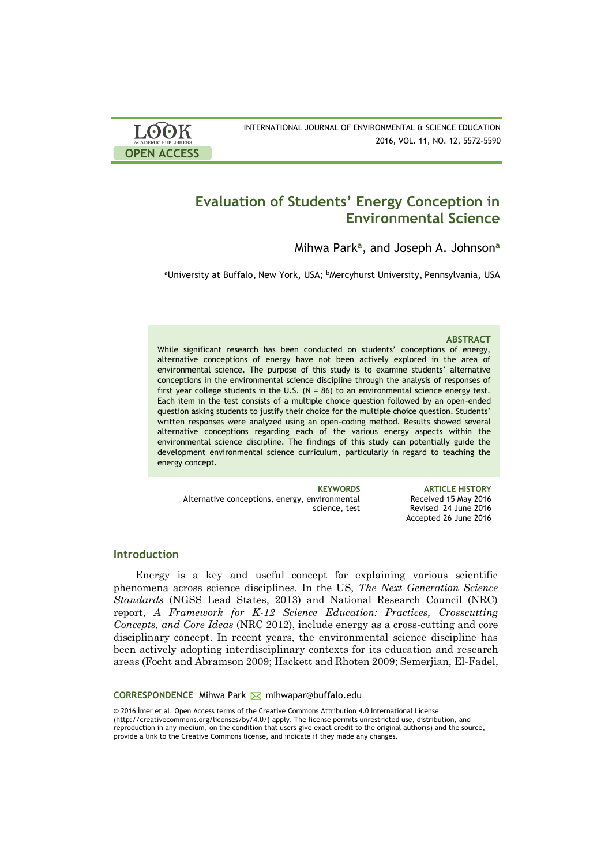

# **Evaluation of Students' Energy Conception in Environmental Science**

Mihwa Park**<sup>a</sup>** , and Joseph A. Johnson**<sup>a</sup>**

aUniversity at Buffalo, New York, USA; <sup>b</sup>Mercyhurst University, Pennsylvania, USA

#### **ABSTRACT**

While significant research has been conducted on students' conceptions of energy, alternative conceptions of energy have not been actively explored in the area of environmental science. The purpose of this study is to examine students' alternative conceptions in the environmental science discipline through the analysis of responses of first year college students in the U.S.  $(N = 86)$  to an environmental science energy test. Each item in the test consists of a multiple choice question followed by an open-ended question asking students to justify their choice for the multiple choice question. Students' written responses were analyzed using an open-coding method. Results showed several alternative conceptions regarding each of the various energy aspects within the environmental science discipline. The findings of this study can potentially guide the development environmental science curriculum, particularly in regard to teaching the energy concept.

Alternative conceptions, energy, environmental science, test

**KEYWORDS ARTICLE HISTORY** Received 15 May 2016 Revised 24 June 2016 Accepted 26 June 2016

### **Introduction**

Energy is a key and useful concept for explaining various scientific phenomena across science disciplines. In the US, *The Next Generation Science Standards* (NGSS Lead States, 2013) and National Research Council (NRC) report, *A Framework for K-12 Science Education: Practices, Crosscutting Concepts, and Core Ideas* (NRC 2012), include energy as a cross-cutting and core disciplinary concept. In recent years, the environmental science discipline has been actively adopting interdisciplinary contexts for its education and research areas (Focht and Abramson 2009; Hackett and Rhoten 2009; Semerjian, El-Fadel,

#### CORRESPONDENCE Mihwa Park M mihwapar@buffalo.edu

© 2016 İmer et al. Open Access terms of the Creative Commons Attribution 4.0 International License (http://creativecommons.org/licenses/by/4.0/) apply. The license permits unrestricted use, distribution, and reproduction in any medium, on the condition that users give exact credit to the original author(s) and the source, provide a link to the Creative Commons license, and indicate if they made any changes.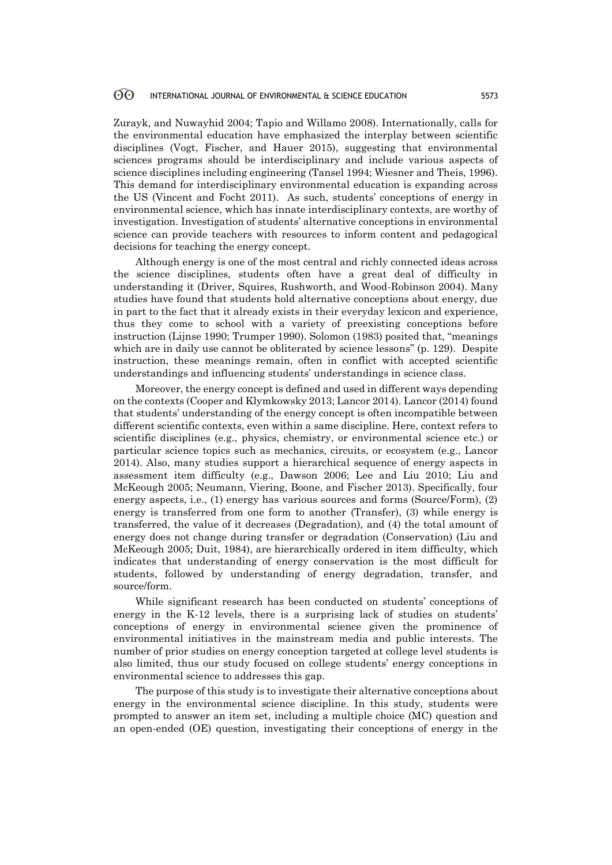Zurayk, and Nuwayhid 2004; Tapio and Willamo 2008). Internationally, calls for the environmental education have emphasized the interplay between scientific disciplines (Vogt, Fischer, and Hauer 2015), suggesting that environmental sciences programs should be interdisciplinary and include various aspects of science disciplines including engineering (Tansel 1994; Wiesner and Theis, 1996). This demand for interdisciplinary environmental education is expanding across the US (Vincent and Focht 2011). As such, students' conceptions of energy in environmental science, which has innate interdisciplinary contexts, are worthy of investigation. Investigation of students' alternative conceptions in environmental science can provide teachers with resources to inform content and pedagogical decisions for teaching the energy concept.

Although energy is one of the most central and richly connected ideas across the science disciplines, students often have a great deal of difficulty in understanding it (Driver, Squires, Rushworth, and Wood-Robinson 2004). Many studies have found that students hold alternative conceptions about energy, due in part to the fact that it already exists in their everyday lexicon and experience, thus they come to school with a variety of preexisting conceptions before instruction (Lijnse 1990; Trumper 1990). Solomon (1983) posited that, "meanings which are in daily use cannot be obliterated by science lessons" (p. 129). Despite instruction, these meanings remain, often in conflict with accepted scientific understandings and influencing students' understandings in science class.

Moreover, the energy concept is defined and used in different ways depending on the contexts (Cooper and Klymkowsky 2013; Lancor 2014). Lancor (2014) found that students' understanding of the energy concept is often incompatible between different scientific contexts, even within a same discipline. Here, context refers to scientific disciplines (e.g., physics, chemistry, or environmental science etc.) or particular science topics such as mechanics, circuits, or ecosystem (e.g., Lancor 2014). Also, many studies support a hierarchical sequence of energy aspects in assessment item difficulty (e.g., Dawson 2006; Lee and Liu 2010; Liu and McKeough 2005; Neumann, Viering, Boone, and Fischer 2013). Specifically, four energy aspects, i.e., (1) energy has various sources and forms (Source/Form), (2) energy is transferred from one form to another (Transfer), (3) while energy is transferred, the value of it decreases (Degradation), and (4) the total amount of energy does not change during transfer or degradation (Conservation) (Liu and McKeough 2005; Duit, 1984), are hierarchically ordered in item difficulty, which indicates that understanding of energy conservation is the most difficult for students, followed by understanding of energy degradation, transfer, and source/form.

While significant research has been conducted on students' conceptions of energy in the K-12 levels, there is a surprising lack of studies on students' conceptions of energy in environmental science given the prominence of environmental initiatives in the mainstream media and public interests. The number of prior studies on energy conception targeted at college level students is also limited, thus our study focused on college students' energy conceptions in environmental science to addresses this gap.

The purpose of this study is to investigate their alternative conceptions about energy in the environmental science discipline. In this study, students were prompted to answer an item set, including a multiple choice (MC) question and an open-ended (OE) question, investigating their conceptions of energy in the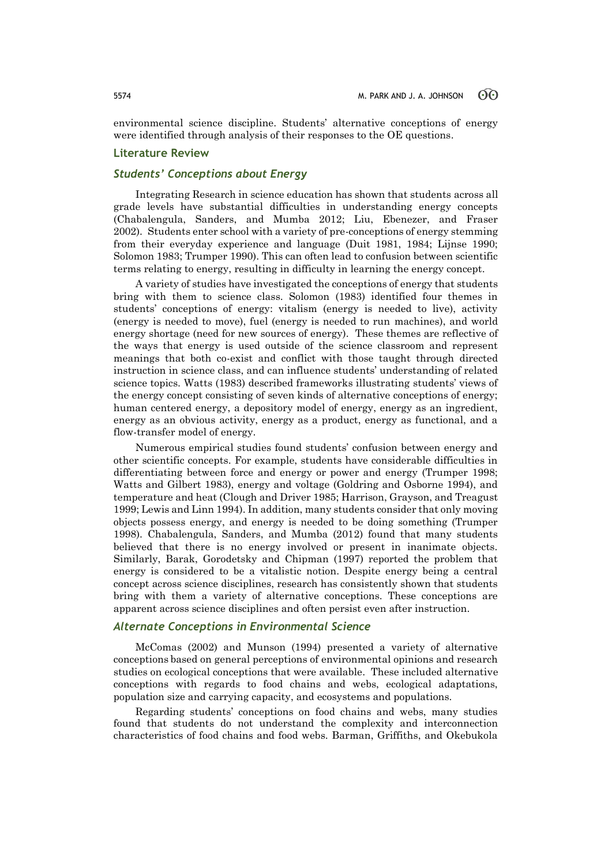environmental science discipline. Students' alternative conceptions of energy were identified through analysis of their responses to the OE questions.

# **Literature Review**

# *Students' Conceptions about Energy*

Integrating Research in science education has shown that students across all grade levels have substantial difficulties in understanding energy concepts (Chabalengula, Sanders, and Mumba 2012; Liu, Ebenezer, and Fraser 2002). Students enter school with a variety of pre-conceptions of energy stemming from their everyday experience and language (Duit 1981, 1984; Lijnse 1990; Solomon 1983; Trumper 1990). This can often lead to confusion between scientific terms relating to energy, resulting in difficulty in learning the energy concept.

A variety of studies have investigated the conceptions of energy that students bring with them to science class. Solomon (1983) identified four themes in students' conceptions of energy: vitalism (energy is needed to live), activity (energy is needed to move), fuel (energy is needed to run machines), and world energy shortage (need for new sources of energy). These themes are reflective of the ways that energy is used outside of the science classroom and represent meanings that both co-exist and conflict with those taught through directed instruction in science class, and can influence students' understanding of related science topics. Watts (1983) described frameworks illustrating students' views of the energy concept consisting of seven kinds of alternative conceptions of energy; human centered energy, a depository model of energy, energy as an ingredient, energy as an obvious activity, energy as a product, energy as functional, and a flow-transfer model of energy.

Numerous empirical studies found students' confusion between energy and other scientific concepts. For example, students have considerable difficulties in differentiating between force and energy or power and energy (Trumper 1998; Watts and Gilbert 1983), energy and voltage (Goldring and Osborne 1994), and temperature and heat (Clough and Driver 1985; Harrison, Grayson, and Treagust 1999; Lewis and Linn 1994). In addition, many students consider that only moving objects possess energy, and energy is needed to be doing something (Trumper 1998). Chabalengula, Sanders, and Mumba (2012) found that many students believed that there is no energy involved or present in inanimate objects. Similarly, Barak, Gorodetsky and Chipman (1997) reported the problem that energy is considered to be a vitalistic notion. Despite energy being a central concept across science disciplines, research has consistently shown that students bring with them a variety of alternative conceptions. These conceptions are apparent across science disciplines and often persist even after instruction.

### *Alternate Conceptions in Environmental Science*

McComas (2002) and Munson (1994) presented a variety of alternative conceptions based on general perceptions of environmental opinions and research studies on ecological conceptions that were available. These included alternative conceptions with regards to food chains and webs, ecological adaptations, population size and carrying capacity, and ecosystems and populations.

Regarding students' conceptions on food chains and webs, many studies found that students do not understand the complexity and interconnection characteristics of food chains and food webs. Barman, Griffiths, and Okebukola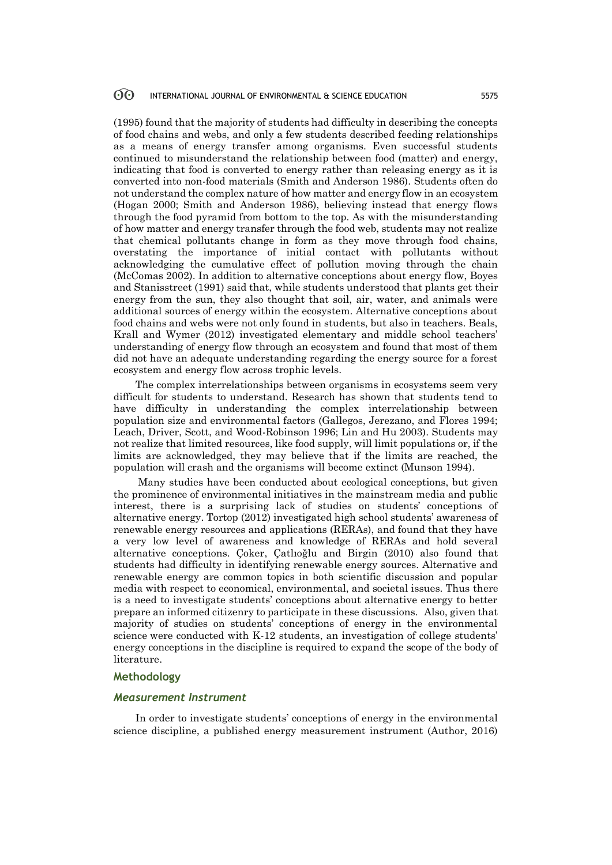(1995) found that the majority of students had difficulty in describing the concepts of food chains and webs, and only a few students described feeding relationships as a means of energy transfer among organisms. Even successful students continued to misunderstand the relationship between food (matter) and energy, indicating that food is converted to energy rather than releasing energy as it is converted into non-food materials (Smith and Anderson 1986). Students often do not understand the complex nature of how matter and energy flow in an ecosystem (Hogan 2000; Smith and Anderson 1986), believing instead that energy flows through the food pyramid from bottom to the top. As with the misunderstanding of how matter and energy transfer through the food web, students may not realize that chemical pollutants change in form as they move through food chains, overstating the importance of initial contact with pollutants without acknowledging the cumulative effect of pollution moving through the chain (McComas 2002). In addition to alternative conceptions about energy flow, Boyes and Stanisstreet (1991) said that, while students understood that plants get their energy from the sun, they also thought that soil, air, water, and animals were additional sources of energy within the ecosystem. Alternative conceptions about food chains and webs were not only found in students, but also in teachers. Beals, Krall and Wymer (2012) investigated elementary and middle school teachers' understanding of energy flow through an ecosystem and found that most of them did not have an adequate understanding regarding the energy source for a forest ecosystem and energy flow across trophic levels.

The complex interrelationships between organisms in ecosystems seem very difficult for students to understand. Research has shown that students tend to have difficulty in understanding the complex interrelationship between population size and environmental factors (Gallegos, Jerezano, and Flores 1994; Leach, Driver, Scott, and Wood-Robinson 1996; Lin and Hu 2003). Students may not realize that limited resources, like food supply, will limit populations or, if the limits are acknowledged, they may believe that if the limits are reached, the population will crash and the organisms will become extinct (Munson 1994).

Many studies have been conducted about ecological conceptions, but given the prominence of environmental initiatives in the mainstream media and public interest, there is a surprising lack of studies on students' conceptions of alternative energy. Tortop (2012) investigated high school students' awareness of renewable energy resources and applications (RERAs), and found that they have a very low level of awareness and knowledge of RERAs and hold several alternative conceptions. Çoker, Çatlıoğlu and Birgin (2010) also found that students had difficulty in identifying renewable energy sources. Alternative and renewable energy are common topics in both scientific discussion and popular media with respect to economical, environmental, and societal issues. Thus there is a need to investigate students' conceptions about alternative energy to better prepare an informed citizenry to participate in these discussions. Also, given that majority of studies on students' conceptions of energy in the environmental science were conducted with K-12 students, an investigation of college students' energy conceptions in the discipline is required to expand the scope of the body of literature.

### **Methodology**

### *Measurement Instrument*

In order to investigate students' conceptions of energy in the environmental science discipline, a published energy measurement instrument (Author, 2016)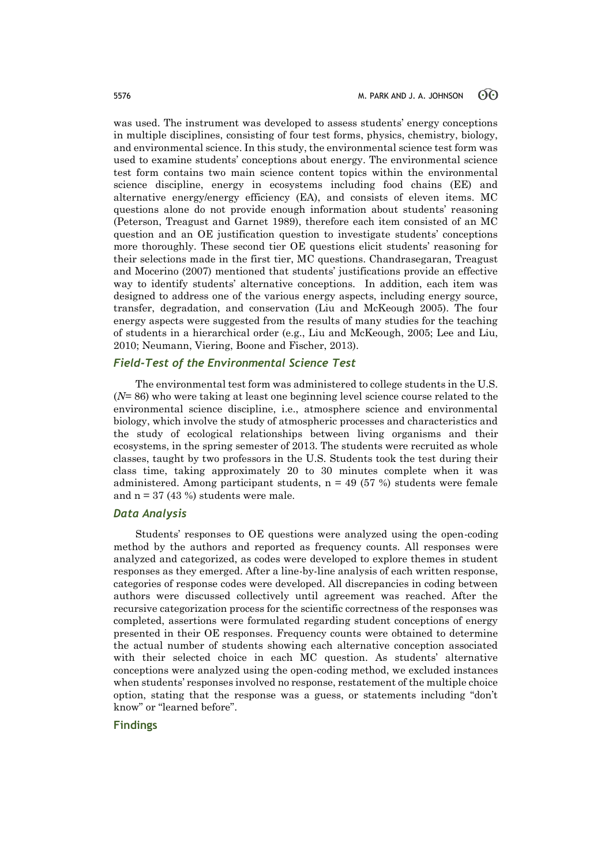was used. The instrument was developed to assess students' energy conceptions in multiple disciplines, consisting of four test forms, physics, chemistry, biology, and environmental science. In this study, the environmental science test form was used to examine students' conceptions about energy. The environmental science test form contains two main science content topics within the environmental science discipline, energy in ecosystems including food chains (EE) and alternative energy/energy efficiency (EA), and consists of eleven items. MC questions alone do not provide enough information about students' reasoning (Peterson, Treagust and Garnet 1989), therefore each item consisted of an MC question and an OE justification question to investigate students' conceptions more thoroughly. These second tier OE questions elicit students' reasoning for their selections made in the first tier, MC questions. Chandrasegaran, Treagust and Mocerino (2007) mentioned that students' justifications provide an effective way to identify students' alternative conceptions. In addition, each item was designed to address one of the various energy aspects, including energy source, transfer, degradation, and conservation (Liu and McKeough 2005). The four energy aspects were suggested from the results of many studies for the teaching of students in a hierarchical order (e.g., Liu and McKeough, 2005; Lee and Liu, 2010; Neumann, Viering, Boone and Fischer, 2013).

# *Field-Test of the Environmental Science Test*

The environmental test form was administered to college students in the U.S. (*N*= 86) who were taking at least one beginning level science course related to the environmental science discipline, i.e., atmosphere science and environmental biology, which involve the study of atmospheric processes and characteristics and the study of ecological relationships between living organisms and their ecosystems, in the spring semester of 2013. The students were recruited as whole classes, taught by two professors in the U.S. Students took the test during their class time, taking approximately 20 to 30 minutes complete when it was administered. Among participant students,  $n = 49$  (57 %) students were female and  $n = 37 (43%)$  students were male.

# *Data Analysis*

Students' responses to OE questions were analyzed using the open-coding method by the authors and reported as frequency counts. All responses were analyzed and categorized, as codes were developed to explore themes in student responses as they emerged. After a line-by-line analysis of each written response, categories of response codes were developed. All discrepancies in coding between authors were discussed collectively until agreement was reached. After the recursive categorization process for the scientific correctness of the responses was completed, assertions were formulated regarding student conceptions of energy presented in their OE responses. Frequency counts were obtained to determine the actual number of students showing each alternative conception associated with their selected choice in each MC question. As students' alternative conceptions were analyzed using the open-coding method, we excluded instances when students' responses involved no response, restatement of the multiple choice option, stating that the response was a guess, or statements including "don't know" or "learned before".

# **Findings**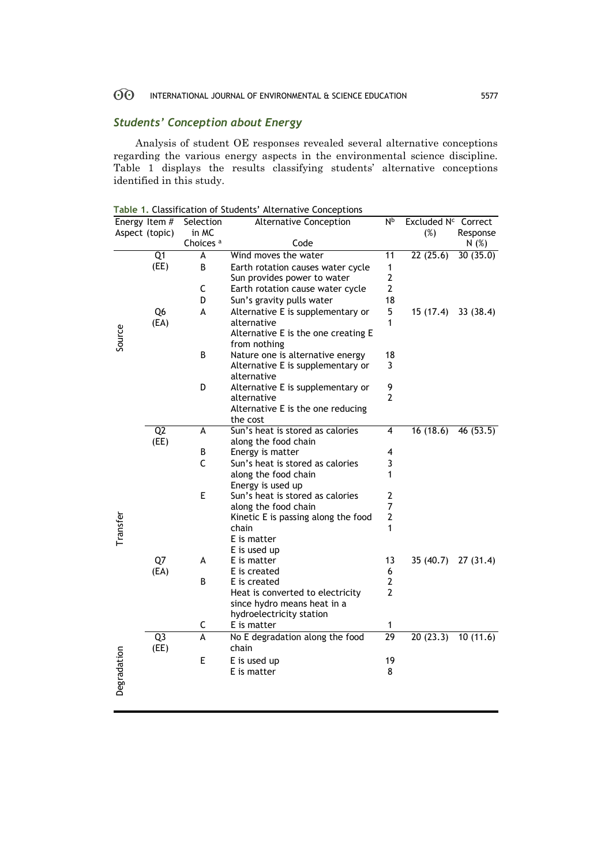# *Students' Conception about Energy*

Analysis of student OE responses revealed several alternative conceptions regarding the various energy aspects in the environmental science discipline. Table 1 displays the results classifying students' alternative conceptions identified in this study.

**Table 1.** Classification of Students' Alternative Conceptions

|             | Energy Item $#$ | Selection            | Alternative Conception                           | Иp                      | Excluded N <sup>c</sup> Correct |          |
|-------------|-----------------|----------------------|--------------------------------------------------|-------------------------|---------------------------------|----------|
|             | Aspect (topic)  | in MC                |                                                  |                         | (%)                             | Response |
|             |                 | Choices <sup>a</sup> | Code                                             |                         |                                 | N(%)     |
| Source      | Q1              | A                    | Wind moves the water                             | $\overline{11}$         | 22(25.6)                        | 30(35.0) |
|             | (EE)            | B                    | Earth rotation causes water cycle                | $\mathbf{1}$            |                                 |          |
|             |                 |                      | Sun provides power to water                      | $\overline{\mathbf{c}}$ |                                 |          |
|             |                 | C                    | Earth rotation cause water cycle                 | $\overline{2}$          |                                 |          |
|             |                 | D                    | Sun's gravity pulls water                        | 18                      |                                 |          |
|             | Q <sub>6</sub>  | A                    | Alternative E is supplementary or                | 5                       | 15 (17.4)                       | 33(38.4) |
|             | (EA)            |                      | alternative                                      | 1                       |                                 |          |
|             |                 |                      | Alternative E is the one creating E              |                         |                                 |          |
|             |                 |                      | from nothing                                     |                         |                                 |          |
|             |                 | B                    | Nature one is alternative energy                 | 18                      |                                 |          |
|             |                 |                      | Alternative E is supplementary or<br>alternative | 3                       |                                 |          |
|             |                 | D                    | Alternative E is supplementary or                | 9                       |                                 |          |
|             |                 |                      | alternative                                      | $\overline{2}$          |                                 |          |
|             |                 |                      | Alternative E is the one reducing                |                         |                                 |          |
|             |                 |                      | the cost                                         |                         |                                 |          |
|             | $\overline{Q2}$ | A                    | Sun's heat is stored as calories                 | 4                       | 16(18.6)                        | 46(53.5) |
|             | (EE)            |                      | along the food chain                             |                         |                                 |          |
|             |                 | В                    | Energy is matter                                 | 4                       |                                 |          |
|             |                 | C                    | Sun's heat is stored as calories                 | 3                       |                                 |          |
|             |                 |                      | along the food chain                             | 1                       |                                 |          |
|             |                 |                      | Energy is used up                                |                         |                                 |          |
|             |                 | E                    | Sun's heat is stored as calories                 | 2                       |                                 |          |
|             |                 |                      | along the food chain                             | 7                       |                                 |          |
|             |                 |                      | Kinetic E is passing along the food              | $\overline{2}$          |                                 |          |
| Transfer    |                 |                      | chain                                            | 1                       |                                 |          |
|             |                 |                      | E is matter                                      |                         |                                 |          |
|             |                 |                      | E is used up                                     |                         |                                 |          |
|             | Q7<br>(EA)      | A                    | E is matter<br>E is created                      | 13<br>6                 | 35 (40.7)                       | 27(31.4) |
|             |                 | B                    | E is created                                     | $\mathbf{2}$            |                                 |          |
|             |                 |                      | Heat is converted to electricity                 | 2                       |                                 |          |
|             |                 |                      | since hydro means heat in a                      |                         |                                 |          |
|             |                 |                      | hydroelectricity station                         |                         |                                 |          |
|             |                 | С                    | E is matter                                      | 1                       |                                 |          |
| Degradation | Q <sub>3</sub>  | $\overline{A}$       | No E degradation along the food                  | 29                      | 20(23.3)                        | 10(11.6) |
|             | (EE)            |                      | chain                                            |                         |                                 |          |
|             |                 | E                    | E is used up                                     | 19                      |                                 |          |
|             |                 |                      | E is matter                                      | 8                       |                                 |          |
|             |                 |                      |                                                  |                         |                                 |          |
|             |                 |                      |                                                  |                         |                                 |          |
|             |                 |                      |                                                  |                         |                                 |          |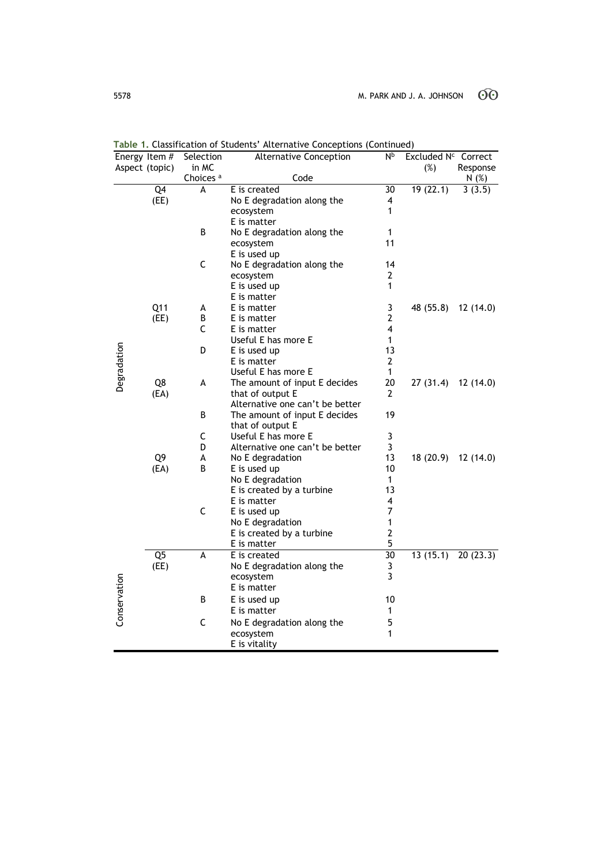|              | Energy Item #   | Selection            | Alternative Conception          | Иp             | Excluded N <sup>c</sup> Correct |          |
|--------------|-----------------|----------------------|---------------------------------|----------------|---------------------------------|----------|
|              | Aspect (topic)  | in MC                |                                 |                | (%)                             | Response |
|              |                 | Choices <sup>a</sup> | Code                            |                |                                 | N(%)     |
|              | Q <sub>4</sub>  | А                    | E is created                    | 30             | 19(22.1)                        | 3(3.5)   |
|              | (EE)            |                      | No E degradation along the      | 4              |                                 |          |
|              |                 |                      | ecosystem                       | 1              |                                 |          |
|              |                 |                      | E is matter                     |                |                                 |          |
|              |                 | B                    | No E degradation along the      | 1              |                                 |          |
|              |                 |                      | ecosystem                       | 11             |                                 |          |
|              |                 |                      | E is used up                    |                |                                 |          |
|              |                 | $\mathsf{C}$         | No E degradation along the      | 14             |                                 |          |
|              |                 |                      | ecosystem                       | 2              |                                 |          |
|              |                 |                      | E is used up                    | 1              |                                 |          |
|              |                 |                      | E is matter                     |                |                                 |          |
|              | Q11             | А                    | E is matter                     | 3              | 48 (55.8)                       | 12(14.0) |
|              | (EE)            | B                    | E is matter                     | $\overline{2}$ |                                 |          |
|              |                 | C                    | E is matter                     | 4              |                                 |          |
| Degradation  |                 |                      | Useful E has more E             | 1              |                                 |          |
|              |                 | D                    | E is used up                    | 13             |                                 |          |
|              |                 |                      | E is matter                     | $\overline{2}$ |                                 |          |
|              |                 |                      | Useful E has more E             | $\mathbf{1}$   |                                 |          |
|              | Q8              | A                    | The amount of input E decides   | 20             | 27(31.4)                        | 12(14.0) |
|              | (EA)            |                      | that of output E                | 2              |                                 |          |
|              |                 |                      | Alternative one can't be better |                |                                 |          |
|              |                 | B                    | The amount of input E decides   | 19             |                                 |          |
|              |                 |                      | that of output E                |                |                                 |          |
|              |                 | C                    | Useful E has more E             | 3              |                                 |          |
|              |                 | D                    | Alternative one can't be better | 3              |                                 |          |
|              | Q9              | А                    | No E degradation                | 13             | 18 (20.9)                       | 12(14.0) |
|              | (EA)            | B                    | E is used up                    | 10             |                                 |          |
|              |                 |                      | No E degradation                | 1              |                                 |          |
|              |                 |                      | E is created by a turbine       | 13             |                                 |          |
|              |                 |                      | E is matter                     | 4              |                                 |          |
|              |                 | $\mathsf C$          | E is used up                    | $\overline{7}$ |                                 |          |
|              |                 |                      | No E degradation                | 1              |                                 |          |
|              |                 |                      | E is created by a turbine       | $\mathbf{2}$   |                                 |          |
|              |                 |                      | E is matter                     | 5              |                                 |          |
| Conservation | $\overline{Q5}$ | A                    | E is created                    | 30             | 13(15.1)                        | 20(23.3) |
|              | (EE)            |                      | No E degradation along the      | 3              |                                 |          |
|              |                 |                      | ecosystem                       | $\overline{3}$ |                                 |          |
|              |                 |                      | E is matter                     |                |                                 |          |
|              |                 | B                    | E is used up                    | 10             |                                 |          |
|              |                 |                      |                                 |                |                                 |          |
|              |                 |                      | E is matter                     | 1              |                                 |          |
|              |                 | C                    | No E degradation along the      | 5              |                                 |          |
|              |                 |                      | ecosystem                       | 1              |                                 |          |
|              |                 |                      | E is vitality                   |                |                                 |          |

**Table 1.** Classification of Students' Alternative Conceptions (Continued)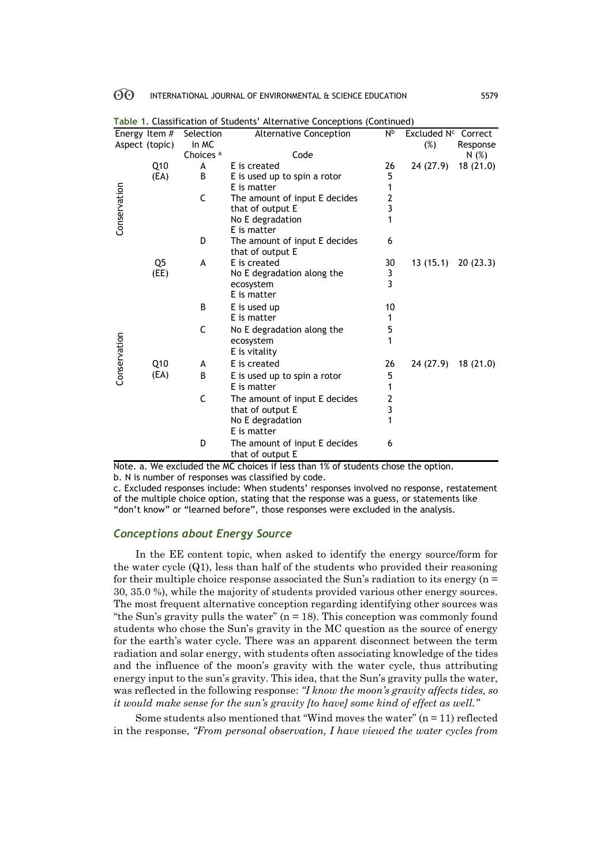| Energy Item $#$     | Selection            | <b>1.</b> Cassincation or stagents Atternative conceptions (continued)<br><b>Alternative Conception</b> | N <sub>p</sub> | Excluded N <sup>c</sup> Correct |           |
|---------------------|----------------------|---------------------------------------------------------------------------------------------------------|----------------|---------------------------------|-----------|
| Aspect (topic)      | in MC                |                                                                                                         |                | $(\%)$                          | Response  |
|                     | Choices <sup>a</sup> | Code                                                                                                    |                |                                 | N(%)      |
| Q10                 | A                    | E is created                                                                                            | 26             | 24 (27.9)                       | 18(21.0)  |
| (EA)                | B                    | E is used up to spin a rotor                                                                            | 5              |                                 |           |
|                     |                      | E is matter                                                                                             | 1              |                                 |           |
| Conservation        | C                    | The amount of input E decides                                                                           | 2              |                                 |           |
|                     |                      | that of output E                                                                                        | 3              |                                 |           |
|                     |                      | No E degradation                                                                                        | 1              |                                 |           |
|                     |                      | E is matter                                                                                             |                |                                 |           |
|                     | D                    | The amount of input E decides                                                                           | 6              |                                 |           |
|                     |                      | that of output E                                                                                        |                |                                 |           |
| Q5                  | A                    | E is created                                                                                            | 30             | 13 (15.1)                       | 20(23.3)  |
| (EE)                |                      | No E degradation along the<br>ecosystem                                                                 | 3<br>3         |                                 |           |
|                     |                      | E is matter                                                                                             |                |                                 |           |
|                     | B                    | E is used up                                                                                            | 10             |                                 |           |
|                     |                      | E is matter                                                                                             | 1              |                                 |           |
|                     | C                    | No E degradation along the                                                                              | 5              |                                 |           |
|                     |                      | ecosystem                                                                                               | 1              |                                 |           |
|                     |                      | E is vitality                                                                                           |                |                                 |           |
| Conservation<br>Q10 | A                    | E is created                                                                                            | 26             | 24 (27.9)                       | 18 (21.0) |
| (EA)                | <sub>B</sub>         | E is used up to spin a rotor                                                                            | 5              |                                 |           |
|                     |                      | E is matter                                                                                             | 1              |                                 |           |
|                     | C                    | The amount of input E decides                                                                           | 2              |                                 |           |
|                     |                      | that of output E                                                                                        | 3              |                                 |           |
|                     |                      | No E degradation                                                                                        | 1              |                                 |           |
|                     |                      | E is matter                                                                                             |                |                                 |           |
|                     | D                    | The amount of input E decides                                                                           | 6              |                                 |           |
|                     |                      | that of output E                                                                                        |                |                                 |           |

**Table 1.** Classification of Students' Alternative Conceptions (Continued)

Note. a. We excluded the MC choices if less than 1% of students chose the option.

b. N is number of responses was classified by code.

c. Excluded responses include: When students' responses involved no response, restatement of the multiple choice option, stating that the response was a guess, or statements like "don't know" or "learned before", those responses were excluded in the analysis.

# *Conceptions about Energy Source*

In the EE content topic, when asked to identify the energy source/form for the water cycle  $(Q1)$ , less than half of the students who provided their reasoning for their multiple choice response associated the Sun's radiation to its energy  $(n =$ 30, 35.0 %), while the majority of students provided various other energy sources. The most frequent alternative conception regarding identifying other sources was "the Sun's gravity pulls the water"  $(n = 18)$ . This conception was commonly found students who chose the Sun's gravity in the MC question as the source of energy for the earth's water cycle. There was an apparent disconnect between the term radiation and solar energy, with students often associating knowledge of the tides and the influence of the moon's gravity with the water cycle, thus attributing energy input to the sun's gravity. This idea, that the Sun's gravity pulls the water, was reflected in the following response: *"I know the moon's gravity affects tides, so it would make sense for the sun's gravity [to have] some kind of effect as well."* 

Some students also mentioned that "Wind moves the water"  $(n = 11)$  reflected in the response, *"From personal observation, I have viewed the water cycles from*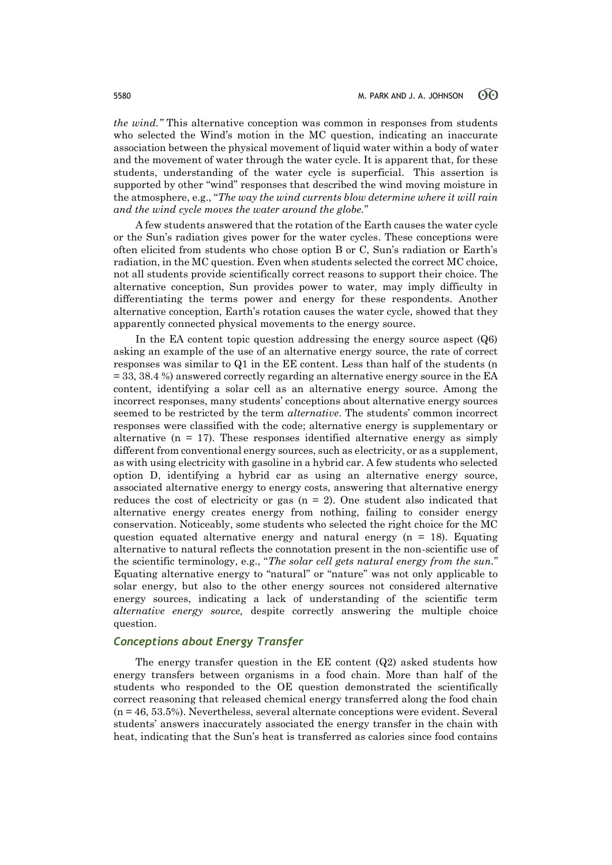*the wind.*" This alternative conception was common in responses from students who selected the Wind's motion in the MC question, indicating an inaccurate association between the physical movement of liquid water within a body of water and the movement of water through the water cycle. It is apparent that, for these students, understanding of the water cycle is superficial. This assertion is supported by other "wind" responses that described the wind moving moisture in the atmosphere, e.g., "*The way the wind currents blow determine where it will rain and the wind cycle moves the water around the globe.*"

A few students answered that the rotation of the Earth causes the water cycle or the Sun's radiation gives power for the water cycles. These conceptions were often elicited from students who chose option B or C, Sun's radiation or Earth's radiation, in the MC question. Even when students selected the correct MC choice, not all students provide scientifically correct reasons to support their choice. The alternative conception, Sun provides power to water, may imply difficulty in differentiating the terms power and energy for these respondents. Another alternative conception, Earth's rotation causes the water cycle, showed that they apparently connected physical movements to the energy source.

In the EA content topic question addressing the energy source aspect (Q6) asking an example of the use of an alternative energy source, the rate of correct responses was similar to Q1 in the EE content. Less than half of the students (n = 33, 38.4 %) answered correctly regarding an alternative energy source in the EA content, identifying a solar cell as an alternative energy source. Among the incorrect responses, many students' conceptions about alternative energy sources seemed to be restricted by the term *alternative*. The students' common incorrect responses were classified with the code; alternative energy is supplementary or alternative  $(n = 17)$ . These responses identified alternative energy as simply different from conventional energy sources, such as electricity, or as a supplement, as with using electricity with gasoline in a hybrid car. A few students who selected option D, identifying a hybrid car as using an alternative energy source, associated alternative energy to energy costs, answering that alternative energy reduces the cost of electricity or gas  $(n = 2)$ . One student also indicated that alternative energy creates energy from nothing, failing to consider energy conservation. Noticeably, some students who selected the right choice for the MC question equated alternative energy and natural energy  $(n = 18)$ . Equating alternative to natural reflects the connotation present in the non-scientific use of the scientific terminology, e.g., "*The solar cell gets natural energy from the sun.*" Equating alternative energy to "natural" or "nature" was not only applicable to solar energy, but also to the other energy sources not considered alternative energy sources, indicating a lack of understanding of the scientific term *alternative energy source,* despite correctly answering the multiple choice question.

# *Conceptions about Energy Transfer*

The energy transfer question in the EE content  $(Q2)$  asked students how energy transfers between organisms in a food chain. More than half of the students who responded to the OE question demonstrated the scientifically correct reasoning that released chemical energy transferred along the food chain (n = 46, 53.5%). Nevertheless, several alternate conceptions were evident. Several students' answers inaccurately associated the energy transfer in the chain with heat, indicating that the Sun's heat is transferred as calories since food contains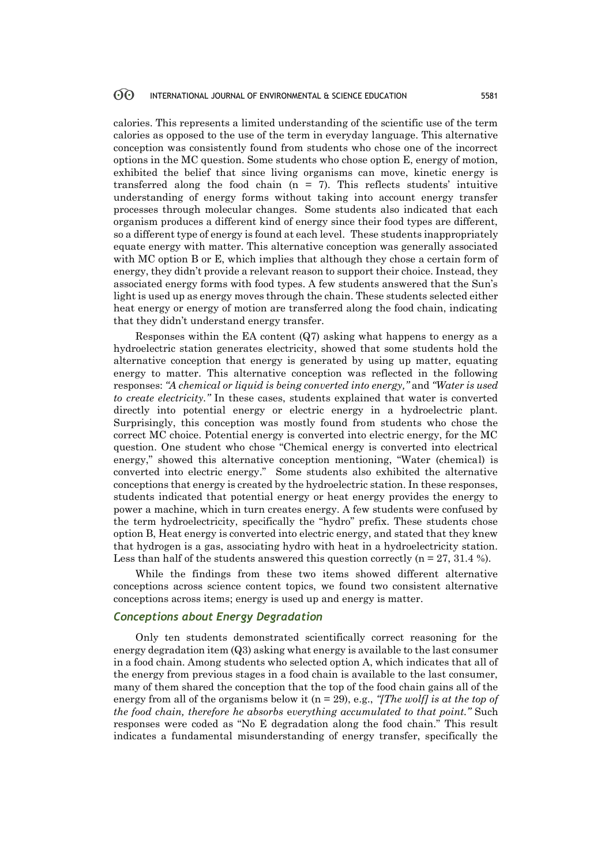calories. This represents a limited understanding of the scientific use of the term calories as opposed to the use of the term in everyday language. This alternative conception was consistently found from students who chose one of the incorrect options in the MC question. Some students who chose option E, energy of motion, exhibited the belief that since living organisms can move, kinetic energy is transferred along the food chain  $(n = 7)$ . This reflects students' intuitive understanding of energy forms without taking into account energy transfer processes through molecular changes. Some students also indicated that each organism produces a different kind of energy since their food types are different, so a different type of energy is found at each level. These students inappropriately equate energy with matter. This alternative conception was generally associated with MC option B or E, which implies that although they chose a certain form of energy, they didn't provide a relevant reason to support their choice. Instead, they associated energy forms with food types. A few students answered that the Sun's light is used up as energy moves through the chain. These students selected either heat energy or energy of motion are transferred along the food chain, indicating that they didn't understand energy transfer.

Responses within the EA content  $(Q7)$  asking what happens to energy as a hydroelectric station generates electricity, showed that some students hold the alternative conception that energy is generated by using up matter, equating energy to matter. This alternative conception was reflected in the following responses: *"A chemical or liquid is being converted into energy,"* and *"Water is used to create electricity."* In these cases, students explained that water is converted directly into potential energy or electric energy in a hydroelectric plant. Surprisingly, this conception was mostly found from students who chose the correct MC choice. Potential energy is converted into electric energy, for the MC question. One student who chose "Chemical energy is converted into electrical energy," showed this alternative conception mentioning, "Water (chemical) is converted into electric energy." Some students also exhibited the alternative conceptions that energy is created by the hydroelectric station. In these responses, students indicated that potential energy or heat energy provides the energy to power a machine, which in turn creates energy. A few students were confused by the term hydroelectricity, specifically the "hydro" prefix. These students chose option B, Heat energy is converted into electric energy, and stated that they knew that hydrogen is a gas, associating hydro with heat in a hydroelectricity station. Less than half of the students answered this question correctly  $(n = 27, 31.4\%)$ .

While the findings from these two items showed different alternative conceptions across science content topics, we found two consistent alternative conceptions across items; energy is used up and energy is matter.

# *Conceptions about Energy Degradation*

Only ten students demonstrated scientifically correct reasoning for the energy degradation item (Q3) asking what energy is available to the last consumer in a food chain. Among students who selected option A, which indicates that all of the energy from previous stages in a food chain is available to the last consumer, many of them shared the conception that the top of the food chain gains all of the energy from all of the organisms below it (n = 29), e.g., *"[The wolf] is at the top of the food chain, therefore he absorbs* e*verything accumulated to that point."* Such responses were coded as "No E degradation along the food chain." This result indicates a fundamental misunderstanding of energy transfer, specifically the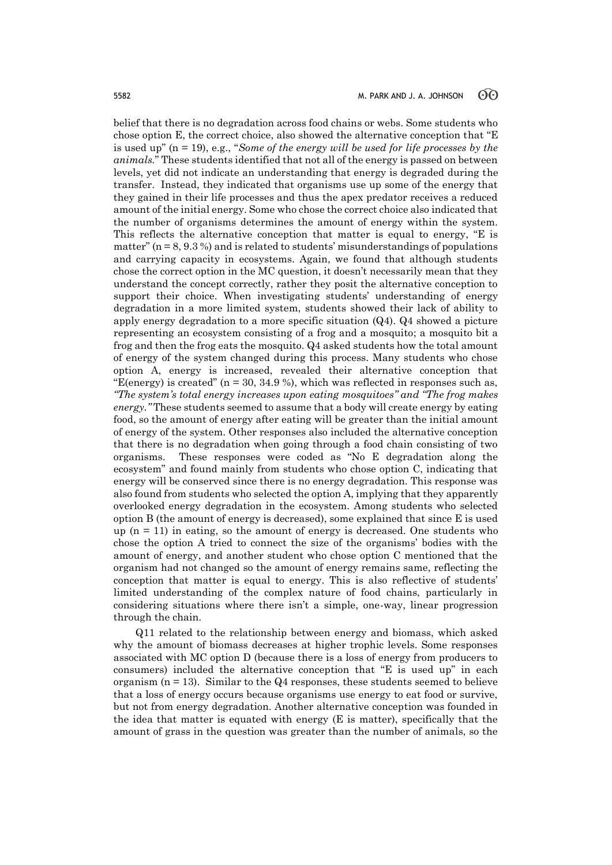belief that there is no degradation across food chains or webs. Some students who chose option E, the correct choice, also showed the alternative conception that "E is used up" (n = 19), e.g., "*Some of the energy will be used for life processes by the animals.*" These students identified that not all of the energy is passed on between levels, yet did not indicate an understanding that energy is degraded during the transfer. Instead, they indicated that organisms use up some of the energy that they gained in their life processes and thus the apex predator receives a reduced amount of the initial energy. Some who chose the correct choice also indicated that the number of organisms determines the amount of energy within the system. This reflects the alternative conception that matter is equal to energy, "E is matter" ( $n = 8, 9.3$ %) and is related to students' misunderstandings of populations and carrying capacity in ecosystems. Again, we found that although students chose the correct option in the MC question, it doesn't necessarily mean that they understand the concept correctly, rather they posit the alternative conception to support their choice. When investigating students' understanding of energy degradation in a more limited system, students showed their lack of ability to apply energy degradation to a more specific situation  $(Q_4)$ .  $Q_4$  showed a picture representing an ecosystem consisting of a frog and a mosquito; a mosquito bit a frog and then the frog eats the mosquito. Q4 asked students how the total amount of energy of the system changed during this process. Many students who chose option A, energy is increased, revealed their alternative conception that "E(energy) is created" ( $n = 30, 34.9$ %), which was reflected in responses such as, *"The system's total energy increases upon eating mosquitoes" and "The frog makes energy."* These students seemed to assume that a body will create energy by eating food, so the amount of energy after eating will be greater than the initial amount of energy of the system. Other responses also included the alternative conception that there is no degradation when going through a food chain consisting of two organisms. These responses were coded as "No E degradation along the ecosystem" and found mainly from students who chose option C, indicating that energy will be conserved since there is no energy degradation. This response was also found from students who selected the option A, implying that they apparently overlooked energy degradation in the ecosystem. Among students who selected option B (the amount of energy is decreased), some explained that since E is used up  $(n = 11)$  in eating, so the amount of energy is decreased. One students who chose the option A tried to connect the size of the organisms' bodies with the amount of energy, and another student who chose option C mentioned that the organism had not changed so the amount of energy remains same, reflecting the conception that matter is equal to energy. This is also reflective of students' limited understanding of the complex nature of food chains, particularly in considering situations where there isn't a simple, one-way, linear progression through the chain.

Q11 related to the relationship between energy and biomass, which asked why the amount of biomass decreases at higher trophic levels. Some responses associated with MC option D (because there is a loss of energy from producers to consumers) included the alternative conception that "E is used up" in each organism ( $n = 13$ ). Similar to the Q4 responses, these students seemed to believe that a loss of energy occurs because organisms use energy to eat food or survive, but not from energy degradation. Another alternative conception was founded in the idea that matter is equated with energy (E is matter), specifically that the amount of grass in the question was greater than the number of animals, so the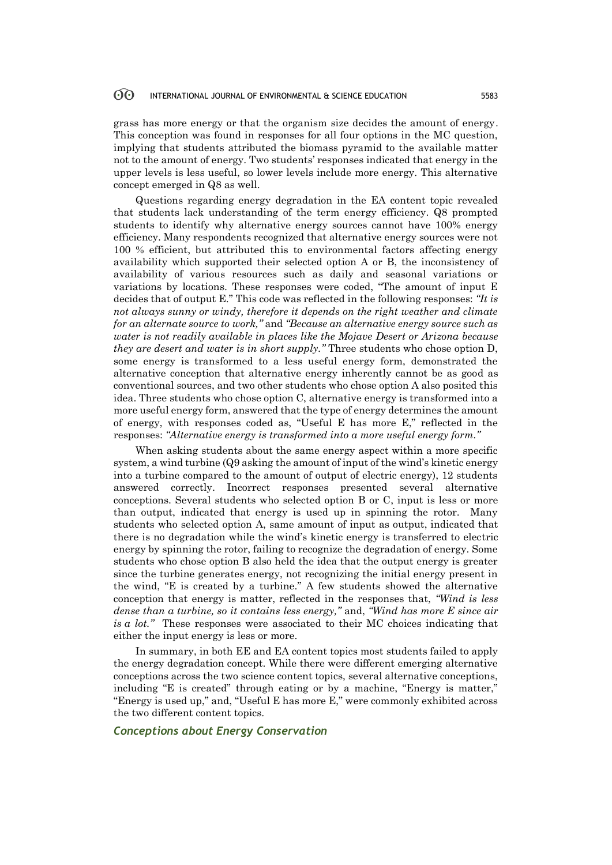grass has more energy or that the organism size decides the amount of energy. This conception was found in responses for all four options in the MC question, implying that students attributed the biomass pyramid to the available matter not to the amount of energy. Two students' responses indicated that energy in the upper levels is less useful, so lower levels include more energy. This alternative concept emerged in Q8 as well.

Questions regarding energy degradation in the EA content topic revealed that students lack understanding of the term energy efficiency. Q8 prompted students to identify why alternative energy sources cannot have 100% energy efficiency. Many respondents recognized that alternative energy sources were not 100 % efficient, but attributed this to environmental factors affecting energy availability which supported their selected option A or B, the inconsistency of availability of various resources such as daily and seasonal variations or variations by locations. These responses were coded, "The amount of input E decides that of output E." This code was reflected in the following responses: *"It is not always sunny or windy, therefore it depends on the right weather and climate for an alternate source to work,"* and *"Because an alternative energy source such as water is not readily available in places like the Mojave Desert or Arizona because they are desert and water is in short supply."* Three students who chose option D, some energy is transformed to a less useful energy form, demonstrated the alternative conception that alternative energy inherently cannot be as good as conventional sources, and two other students who chose option A also posited this idea. Three students who chose option C, alternative energy is transformed into a more useful energy form, answered that the type of energy determines the amount of energy, with responses coded as, "Useful E has more E," reflected in the responses: *"Alternative energy is transformed into a more useful energy form."*

When asking students about the same energy aspect within a more specific system, a wind turbine (Q9 asking the amount of input of the wind's kinetic energy into a turbine compared to the amount of output of electric energy), 12 students answered correctly. Incorrect responses presented several alternative conceptions. Several students who selected option B or C, input is less or more than output, indicated that energy is used up in spinning the rotor. Many students who selected option A, same amount of input as output, indicated that there is no degradation while the wind's kinetic energy is transferred to electric energy by spinning the rotor, failing to recognize the degradation of energy. Some students who chose option B also held the idea that the output energy is greater since the turbine generates energy, not recognizing the initial energy present in the wind, "E is created by a turbine." A few students showed the alternative conception that energy is matter, reflected in the responses that, *"Wind is less dense than a turbine, so it contains less energy,"* and, *"Wind has more E since air is a lot."* These responses were associated to their MC choices indicating that either the input energy is less or more.

In summary, in both EE and EA content topics most students failed to apply the energy degradation concept. While there were different emerging alternative conceptions across the two science content topics, several alternative conceptions, including "E is created" through eating or by a machine, "Energy is matter," "Energy is used up," and, "Useful E has more E," were commonly exhibited across the two different content topics.

# *Conceptions about Energy Conservation*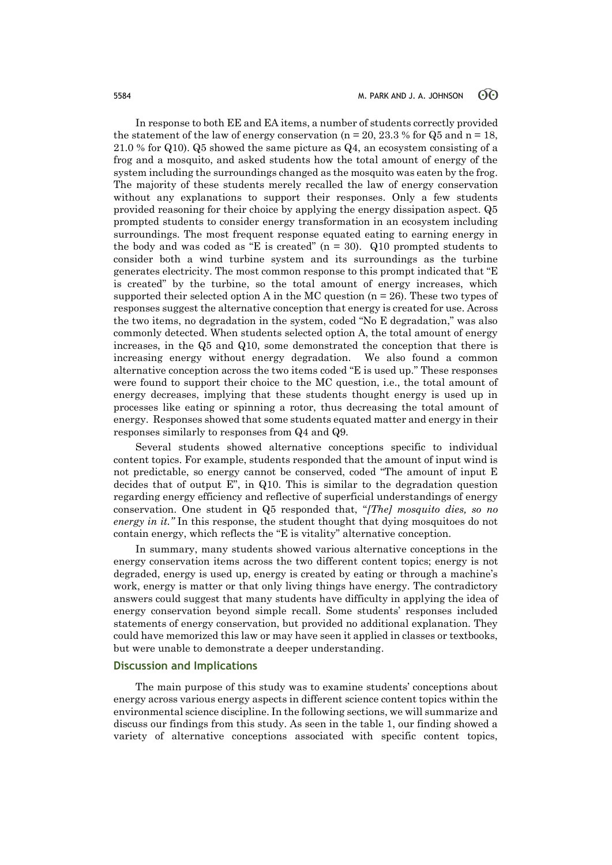In response to both EE and EA items, a number of students correctly provided the statement of the law of energy conservation ( $n = 20$ ,  $23.3\%$  for Q5 and  $n = 18$ , 21.0 % for Q10). Q5 showed the same picture as Q4, an ecosystem consisting of a frog and a mosquito, and asked students how the total amount of energy of the system including the surroundings changed as the mosquito was eaten by the frog. The majority of these students merely recalled the law of energy conservation without any explanations to support their responses. Only a few students provided reasoning for their choice by applying the energy dissipation aspect. Q5 prompted students to consider energy transformation in an ecosystem including surroundings. The most frequent response equated eating to earning energy in the body and was coded as "E is created"  $(n = 30)$ . Q10 prompted students to consider both a wind turbine system and its surroundings as the turbine generates electricity. The most common response to this prompt indicated that "E is created" by the turbine, so the total amount of energy increases, which supported their selected option A in the MC question  $(n = 26)$ . These two types of responses suggest the alternative conception that energy is created for use. Across the two items, no degradation in the system, coded "No E degradation," was also commonly detected. When students selected option A, the total amount of energy increases, in the Q5 and Q10, some demonstrated the conception that there is increasing energy without energy degradation. We also found a common alternative conception across the two items coded "E is used up." These responses were found to support their choice to the MC question, i.e., the total amount of energy decreases, implying that these students thought energy is used up in processes like eating or spinning a rotor, thus decreasing the total amount of energy. Responses showed that some students equated matter and energy in their responses similarly to responses from Q4 and Q9.

Several students showed alternative conceptions specific to individual content topics. For example, students responded that the amount of input wind is not predictable, so energy cannot be conserved, coded "The amount of input E decides that of output E", in Q10. This is similar to the degradation question regarding energy efficiency and reflective of superficial understandings of energy conservation. One student in Q5 responded that, "*[The] mosquito dies, so no energy in it."* In this response, the student thought that dying mosquitoes do not contain energy, which reflects the "E is vitality" alternative conception.

In summary, many students showed various alternative conceptions in the energy conservation items across the two different content topics; energy is not degraded, energy is used up, energy is created by eating or through a machine's work, energy is matter or that only living things have energy. The contradictory answers could suggest that many students have difficulty in applying the idea of energy conservation beyond simple recall. Some students' responses included statements of energy conservation, but provided no additional explanation. They could have memorized this law or may have seen it applied in classes or textbooks, but were unable to demonstrate a deeper understanding.

#### **Discussion and Implications**

The main purpose of this study was to examine students' conceptions about energy across various energy aspects in different science content topics within the environmental science discipline. In the following sections, we will summarize and discuss our findings from this study. As seen in the table 1, our finding showed a variety of alternative conceptions associated with specific content topics,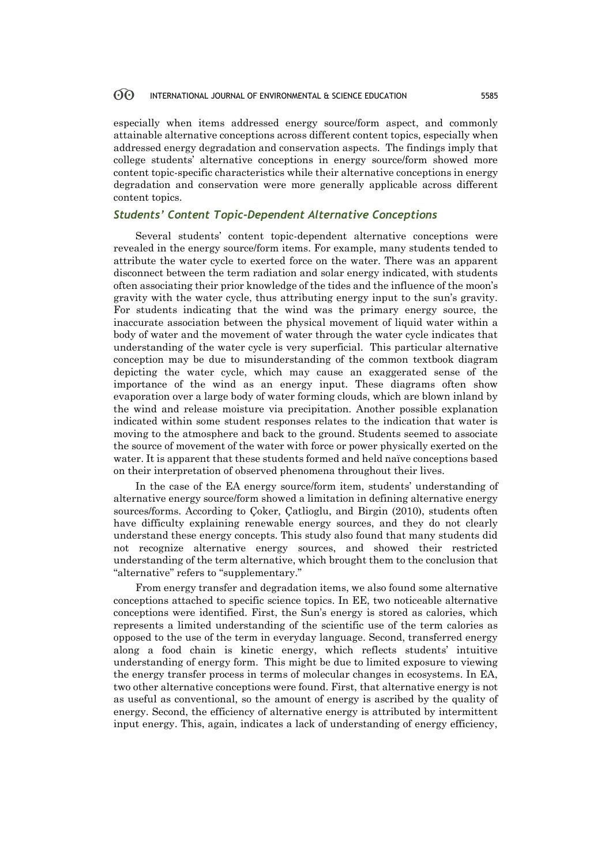especially when items addressed energy source/form aspect, and commonly attainable alternative conceptions across different content topics, especially when addressed energy degradation and conservation aspects. The findings imply that college students' alternative conceptions in energy source/form showed more content topic-specific characteristics while their alternative conceptions in energy degradation and conservation were more generally applicable across different content topics.

### *Students' Content Topic-Dependent Alternative Conceptions*

Several students' content topic-dependent alternative conceptions were revealed in the energy source/form items. For example, many students tended to attribute the water cycle to exerted force on the water. There was an apparent disconnect between the term radiation and solar energy indicated, with students often associating their prior knowledge of the tides and the influence of the moon's gravity with the water cycle, thus attributing energy input to the sun's gravity. For students indicating that the wind was the primary energy source, the inaccurate association between the physical movement of liquid water within a body of water and the movement of water through the water cycle indicates that understanding of the water cycle is very superficial. This particular alternative conception may be due to misunderstanding of the common textbook diagram depicting the water cycle, which may cause an exaggerated sense of the importance of the wind as an energy input. These diagrams often show evaporation over a large body of water forming clouds, which are blown inland by the wind and release moisture via precipitation. Another possible explanation indicated within some student responses relates to the indication that water is moving to the atmosphere and back to the ground. Students seemed to associate the source of movement of the water with force or power physically exerted on the water. It is apparent that these students formed and held naïve conceptions based on their interpretation of observed phenomena throughout their lives.

In the case of the EA energy source/form item, students' understanding of alternative energy source/form showed a limitation in defining alternative energy sources/forms. According to Çoker, Çatlioglu, and Birgin (2010), students often have difficulty explaining renewable energy sources, and they do not clearly understand these energy concepts. This study also found that many students did not recognize alternative energy sources, and showed their restricted understanding of the term alternative, which brought them to the conclusion that "alternative" refers to "supplementary."

From energy transfer and degradation items, we also found some alternative conceptions attached to specific science topics. In EE, two noticeable alternative conceptions were identified. First, the Sun's energy is stored as calories, which represents a limited understanding of the scientific use of the term calories as opposed to the use of the term in everyday language. Second, transferred energy along a food chain is kinetic energy, which reflects students' intuitive understanding of energy form. This might be due to limited exposure to viewing the energy transfer process in terms of molecular changes in ecosystems. In EA, two other alternative conceptions were found. First, that alternative energy is not as useful as conventional, so the amount of energy is ascribed by the quality of energy. Second, the efficiency of alternative energy is attributed by intermittent input energy. This, again, indicates a lack of understanding of energy efficiency,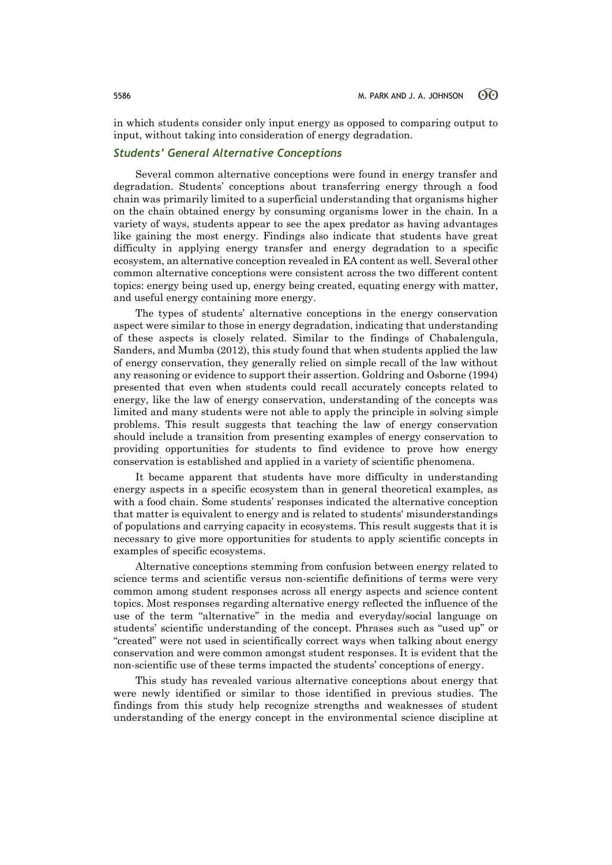in which students consider only input energy as opposed to comparing output to input, without taking into consideration of energy degradation.

# *Students' General Alternative Conceptions*

Several common alternative conceptions were found in energy transfer and degradation. Students' conceptions about transferring energy through a food chain was primarily limited to a superficial understanding that organisms higher on the chain obtained energy by consuming organisms lower in the chain. In a variety of ways, students appear to see the apex predator as having advantages like gaining the most energy. Findings also indicate that students have great difficulty in applying energy transfer and energy degradation to a specific ecosystem, an alternative conception revealed in EA content as well. Several other common alternative conceptions were consistent across the two different content topics: energy being used up, energy being created, equating energy with matter, and useful energy containing more energy.

The types of students' alternative conceptions in the energy conservation aspect were similar to those in energy degradation, indicating that understanding of these aspects is closely related. Similar to the findings of Chabalengula, Sanders, and Mumba (2012), this study found that when students applied the law of energy conservation, they generally relied on simple recall of the law without any reasoning or evidence to support their assertion. Goldring and Osborne (1994) presented that even when students could recall accurately concepts related to energy, like the law of energy conservation, understanding of the concepts was limited and many students were not able to apply the principle in solving simple problems. This result suggests that teaching the law of energy conservation should include a transition from presenting examples of energy conservation to providing opportunities for students to find evidence to prove how energy conservation is established and applied in a variety of scientific phenomena.

It became apparent that students have more difficulty in understanding energy aspects in a specific ecosystem than in general theoretical examples, as with a food chain. Some students' responses indicated the alternative conception that matter is equivalent to energy and is related to students' misunderstandings of populations and carrying capacity in ecosystems. This result suggests that it is necessary to give more opportunities for students to apply scientific concepts in examples of specific ecosystems.

Alternative conceptions stemming from confusion between energy related to science terms and scientific versus non-scientific definitions of terms were very common among student responses across all energy aspects and science content topics. Most responses regarding alternative energy reflected the influence of the use of the term "alternative" in the media and everyday/social language on students' scientific understanding of the concept. Phrases such as "used up" or "created" were not used in scientifically correct ways when talking about energy conservation and were common amongst student responses. It is evident that the non-scientific use of these terms impacted the students' conceptions of energy.

This study has revealed various alternative conceptions about energy that were newly identified or similar to those identified in previous studies. The findings from this study help recognize strengths and weaknesses of student understanding of the energy concept in the environmental science discipline at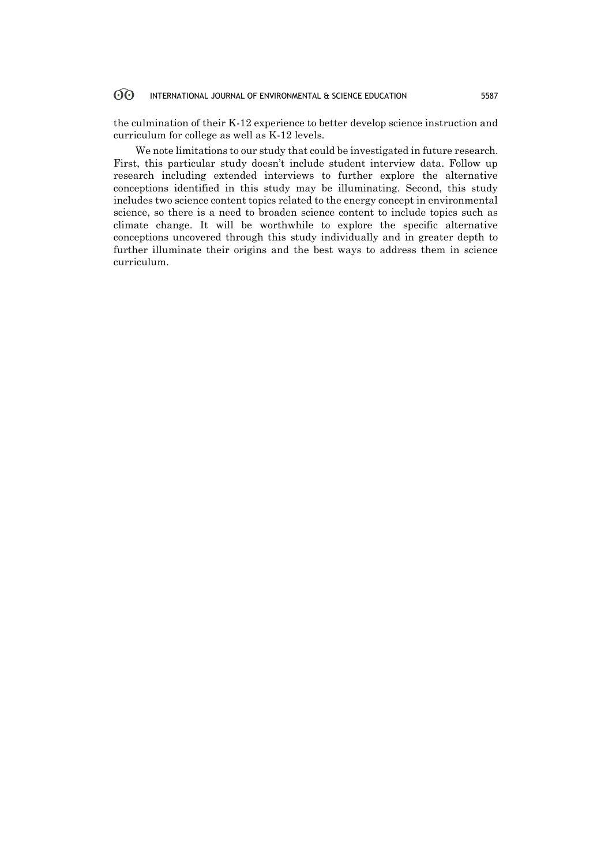the culmination of their K-12 experience to better develop science instruction and curriculum for college as well as K-12 levels.

We note limitations to our study that could be investigated in future research. First, this particular study doesn't include student interview data. Follow up research including extended interviews to further explore the alternative conceptions identified in this study may be illuminating. Second, this study includes two science content topics related to the energy concept in environmental science, so there is a need to broaden science content to include topics such as climate change. It will be worthwhile to explore the specific alternative conceptions uncovered through this study individually and in greater depth to further illuminate their origins and the best ways to address them in science curriculum.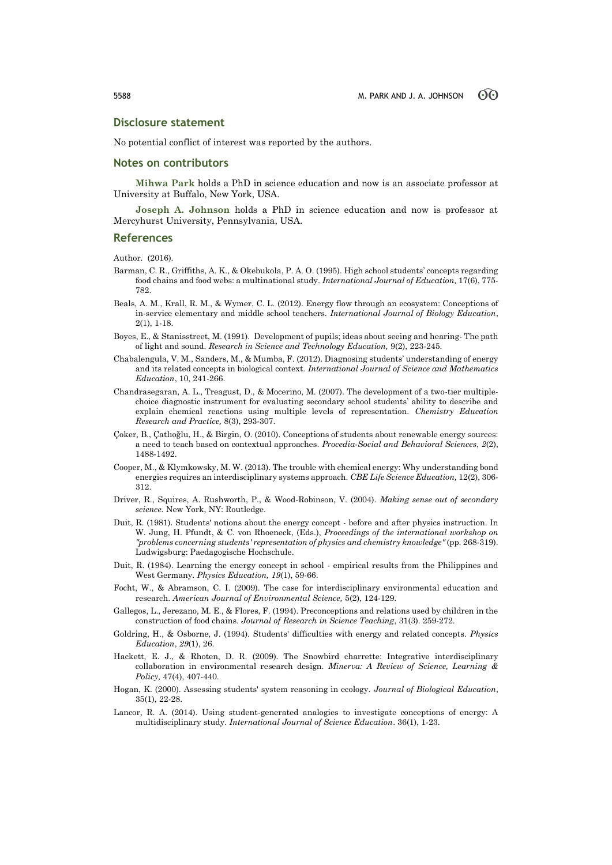### **Disclosure statement**

No potential conflict of interest was reported by the authors.

#### **Notes on contributors**

**Mihwa Park** holds a PhD in science education and now is an associate professor at University at Buffalo, New York, USA.

**Joseph A. Johnson** holds a PhD in science education and now is professor at Mercyhurst University, Pennsylvania, USA.

### **References**

Author. (2016).

- Barman, C. R., Griffiths, A. K., & Okebukola, P. A. O. (1995). High school students' concepts regarding food chains and food webs: a multinational study. *International Journal of Education,* 17(6), 775- 782.
- Beals, A. M., Krall, R. M., & Wymer, C. L. (2012). Energy flow through an ecosystem: Conceptions of in-service elementary and middle school teachers. *International Journal of Biology Education*, 2(1), 1-18.
- Boyes, E., & Stanisstreet, M. (1991). Development of pupils; ideas about seeing and hearing- The path of light and sound. *Research in Science and Technology Education,* 9(2), 223-245.
- Chabalengula, V. M., Sanders, M., & Mumba, F. (2012). Diagnosing students' understanding of energy and its related concepts in biological context. *International Journal of Science and Mathematics Education*, 10, 241-266.
- Chandrasegaran, A. L., Treagust, D., & Mocerino, M. (2007). The development of a two-tier multiplechoice diagnostic instrument for evaluating secondary school students' ability to describe and explain chemical reactions using multiple levels of representation. *Chemistry Education Research and Practice,* 8(3), 293-307.
- Çoker, B., Çatlıoğlu, H., & Birgin, O. (2010). Conceptions of students about renewable energy sources: a need to teach based on contextual approaches. *Procedia-Social and Behavioral Sciences*, *2*(2), 1488-1492.
- Cooper, M., & Klymkowsky, M. W. (2013). The trouble with chemical energy: Why understanding bond energies requires an interdisciplinary systems approach. *CBE Life Science Education,* 12(2), 306- 312.
- Driver, R., Squires, A. Rushworth, P., & Wood-Robinson, V. (2004). *Making sense out of secondary science.* New York, NY: Routledge.
- Duit, R. (1981). Students' notions about the energy concept before and after physics instruction. In W. Jung, H. Pfundt, & C. von Rhoeneck, (Eds.), *Proceedings of the international workshop on "problems concerning students' representation of physics and chemistry knowledge"* (pp. 268-319). Ludwigsburg: Paedagogische Hochschule.
- Duit, R. (1984). Learning the energy concept in school empirical results from the Philippines and West Germany. *Physics Education, 19*(1), 59-66.
- Focht, W., & Abramson, C. I. (2009). The case for interdisciplinary environmental education and research. *American Journal of Environmental Science,* 5(2), 124-129.
- Gallegos, L., Jerezano, M. E., & Flores, F. (1994). Preconceptions and relations used by children in the construction of food chains. *Journal of Research in Science Teaching*, 31(3). 259-272.
- Goldring, H., & Osborne, J. (1994). Students' difficulties with energy and related concepts. *Physics Education*, *29*(1), 26.
- Hackett, E. J., & Rhoten, D. R. (2009). The Snowbird charrette: Integrative interdisciplinary collaboration in environmental research design. *Minerva: A Review of Science, Learning & Policy,* 47(4), 407-440.
- Hogan, K. (2000). Assessing students' system reasoning in ecology. *Journal of Biological Education*, 35(1), 22-28.
- Lancor, R. A. (2014). Using student-generated analogies to investigate conceptions of energy: A multidisciplinary study. *International Journal of Science Education*. 36(1), 1-23.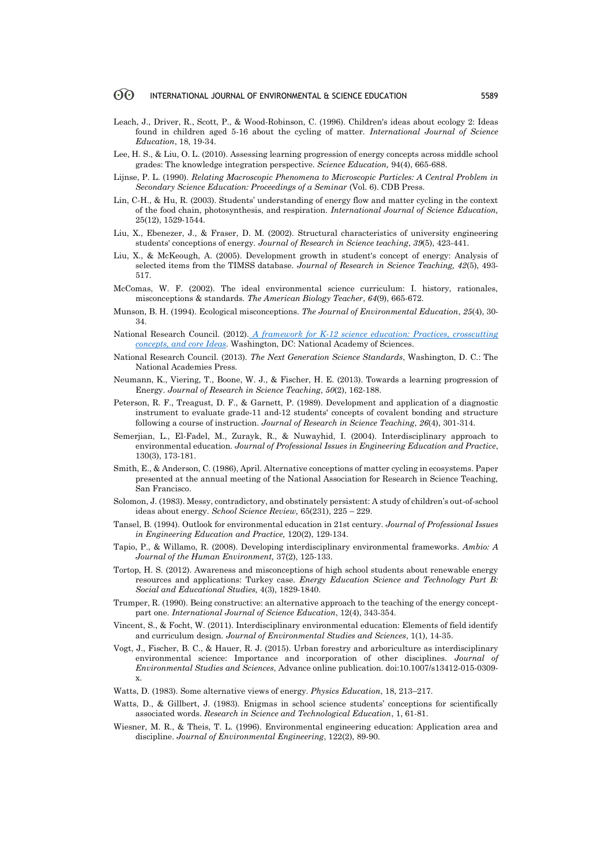- Leach, J., Driver, R., Scott, P., & Wood-Robinson, C. (1996). Children's ideas about ecology 2: Ideas found in children aged 5-16 about the cycling of matter. *International Journal of Science Education*, 18, 19-34.
- Lee, H. S., & Liu, O. L. (2010). Assessing learning progression of energy concepts across middle school grades: The knowledge integration perspective. *Science Education,* 94(4), 665-688.
- Lijnse, P. L. (1990). *Relating Macroscopic Phenomena to Microscopic Particles: A Central Problem in Secondary Science Education: Proceedings of a Seminar* (Vol. 6). CDB Press.
- Lin, C-H., & Hu, R. (2003). Students' understanding of energy flow and matter cycling in the context of the food chain, photosynthesis, and respiration. *International Journal of Science Education,* 25(12), 1529-1544.
- Liu, X., Ebenezer, J., & Fraser, D. M. (2002). Structural characteristics of university engineering students' conceptions of energy. *Journal of Research in Science teaching*, *39*(5), 423-441.
- Liu, X., & McKeough, A. (2005). Development growth in student's concept of energy: Analysis of selected items from the TIMSS database. *Journal of Research in Science Teaching, 42*(5), 493- 517.
- McComas, W. F. (2002). The ideal environmental science curriculum: I. history, rationales, misconceptions & standards. *The American Biology Teacher*, *64*(9), 665-672.
- Munson, B. H. (1994). Ecological misconceptions. *The Journal of Environmental Education*, *25*(4), 30- 34.
- National Research Council. (2012[\).](http://www.nap.edu/catalog.php?record_id=13165) *[A framework for K-12 science education: Practices, crosscutting](http://www.nap.edu/catalog.php?record_id=13165)  [concepts, and core Ideas.](http://www.nap.edu/catalog.php?record_id=13165)* Washington, DC: National Academy of Sciences.
- National Research Council. (2013). *The Next Generation Science Standards*, Washington, D. C.: The National Academies Press.
- Neumann, K., Viering, T., Boone, W. J., & Fischer, H. E. (2013). Towards a learning progression of Energy. *Journal of Research in Science Teaching*, *50*(2), 162-188.
- Peterson, R. F., Treagust, D. F., & Garnett, P. (1989). Development and application of a diagnostic instrument to evaluate grade‐11 and‐12 students' concepts of covalent bonding and structure following a course of instruction. *Journal of Research in Science Teaching*, *26*(4), 301-314.
- Semerjian, L., El-Fadel, M., Zurayk, R., & Nuwayhid, I. (2004). Interdisciplinary approach to environmental education. *Journal of Professional Issues in Engineering Education and Practice*, 130(3), 173-181.
- Smith, E., & Anderson, C. (1986), April. Alternative conceptions of matter cycling in ecosystems. Paper presented at the annual meeting of the National Association for Research in Science Teaching, San Francisco.
- Solomon, J. (1983). Messy, contradictory, and obstinately persistent: A study of children's out-of-school ideas about energy*. School Science Review,* 65(231), 225 – 229.
- Tansel, B. (1994). Outlook for environmental education in 21st century. *Journal of Professional Issues in Engineering Education and Practice,* 120(2), 129-134.
- Tapio, P., & Willamo, R. (2008). Developing interdisciplinary environmental frameworks. *Ambio: A Journal of the Human Environment,* 37(2), 125-133.
- Tortop, H. S. (2012). Awareness and misconceptions of high school students about renewable energy resources and applications: Turkey case. *Energy Education Science and Technology Part B: Social and Educational Studies,* 4(3), 1829-1840.
- Trumper, R. (1990). Being constructive: an alternative approach to the teaching of the energy conceptpart one. *International Journal of Science Education*, 12(4), 343-354.
- Vincent, S., & Focht, W. (2011). Interdisciplinary environmental education: Elements of field identify and curriculum design. *Journal of Environmental Studies and Sciences*, 1(1), 14-35.
- Vogt, J., Fischer, B. C., & Hauer, R. J. (2015). Urban forestry and arboriculture as interdisciplinary environmental science: Importance and incorporation of other disciplines. *Journal of Environmental Studies and Sciences*, Advance online publication. doi:10.1007/s13412-015-0309 x.
- Watts, D. (1983). Some alternative views of energy. *Physics Education*, 18, 213–217.
- Watts, D., & Gillbert, J. (1983). Enigmas in school science students' conceptions for scientifically associated words. *Research in Science and Technological Education*, 1, 61-81.
- Wiesner, M. R., & Theis, T. L. (1996). Environmental engineering education: Application area and discipline. *Journal of Environmental Engineering*, 122(2), 89-90.